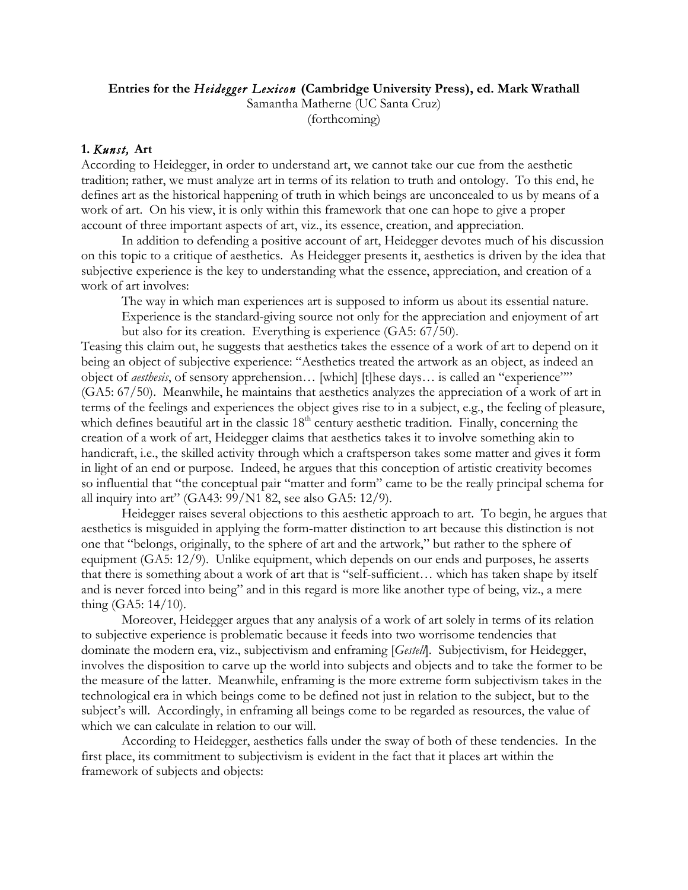## **Entries for the** *Heidegger Lexicon* **(Cambridge University Press), ed. Mark Wrathall**

Samantha Matherne (UC Santa Cruz) (forthcoming)

## **1.** *Kunst,* **Art**

According to Heidegger, in order to understand art, we cannot take our cue from the aesthetic tradition; rather, we must analyze art in terms of its relation to truth and ontology. To this end, he defines art as the historical happening of truth in which beings are unconcealed to us by means of a work of art. On his view, it is only within this framework that one can hope to give a proper account of three important aspects of art, viz., its essence, creation, and appreciation.

In addition to defending a positive account of art, Heidegger devotes much of his discussion on this topic to a critique of aesthetics. As Heidegger presents it, aesthetics is driven by the idea that subjective experience is the key to understanding what the essence, appreciation, and creation of a work of art involves:

The way in which man experiences art is supposed to inform us about its essential nature.

Experience is the standard-giving source not only for the appreciation and enjoyment of art but also for its creation. Everything is experience (GA5: 67/50).

Teasing this claim out, he suggests that aesthetics takes the essence of a work of art to depend on it being an object of subjective experience: "Aesthetics treated the artwork as an object, as indeed an object of *aesthesis*, of sensory apprehension… [which] [t]hese days… is called an "experience"" (GA5: 67/50). Meanwhile, he maintains that aesthetics analyzes the appreciation of a work of art in terms of the feelings and experiences the object gives rise to in a subject, e.g., the feeling of pleasure, which defines beautiful art in the classic 18<sup>th</sup> century aesthetic tradition. Finally, concerning the creation of a work of art, Heidegger claims that aesthetics takes it to involve something akin to handicraft, i.e., the skilled activity through which a craftsperson takes some matter and gives it form in light of an end or purpose. Indeed, he argues that this conception of artistic creativity becomes so influential that "the conceptual pair "matter and form" came to be the really principal schema for all inquiry into art" (GA43: 99/N1 82, see also GA5: 12/9).

Heidegger raises several objections to this aesthetic approach to art. To begin, he argues that aesthetics is misguided in applying the form-matter distinction to art because this distinction is not one that "belongs, originally, to the sphere of art and the artwork," but rather to the sphere of equipment (GA5: 12/9). Unlike equipment, which depends on our ends and purposes, he asserts that there is something about a work of art that is "self-sufficient… which has taken shape by itself and is never forced into being" and in this regard is more like another type of being, viz., a mere thing (GA5: 14/10).

Moreover, Heidegger argues that any analysis of a work of art solely in terms of its relation to subjective experience is problematic because it feeds into two worrisome tendencies that dominate the modern era, viz., subjectivism and enframing [*Gestell*]. Subjectivism, for Heidegger, involves the disposition to carve up the world into subjects and objects and to take the former to be the measure of the latter. Meanwhile, enframing is the more extreme form subjectivism takes in the technological era in which beings come to be defined not just in relation to the subject, but to the subject's will. Accordingly, in enframing all beings come to be regarded as resources, the value of which we can calculate in relation to our will.

According to Heidegger, aesthetics falls under the sway of both of these tendencies. In the first place, its commitment to subjectivism is evident in the fact that it places art within the framework of subjects and objects: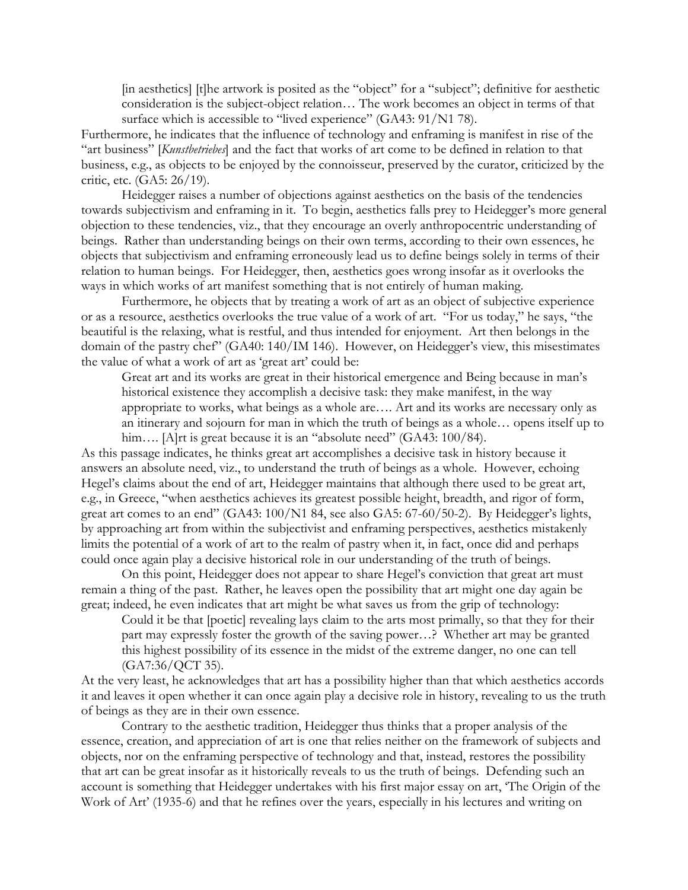[in aesthetics] [t]he artwork is posited as the "object" for a "subject"; definitive for aesthetic consideration is the subject-object relation… The work becomes an object in terms of that surface which is accessible to "lived experience" (GA43: 91/N1 78).

Furthermore, he indicates that the influence of technology and enframing is manifest in rise of the "art business" [*Kunstbetriebes*] and the fact that works of art come to be defined in relation to that business, e.g., as objects to be enjoyed by the connoisseur, preserved by the curator, criticized by the critic, etc. (GA5: 26/19).

Heidegger raises a number of objections against aesthetics on the basis of the tendencies towards subjectivism and enframing in it. To begin, aesthetics falls prey to Heidegger's more general objection to these tendencies, viz., that they encourage an overly anthropocentric understanding of beings. Rather than understanding beings on their own terms, according to their own essences, he objects that subjectivism and enframing erroneously lead us to define beings solely in terms of their relation to human beings. For Heidegger, then, aesthetics goes wrong insofar as it overlooks the ways in which works of art manifest something that is not entirely of human making.

Furthermore, he objects that by treating a work of art as an object of subjective experience or as a resource, aesthetics overlooks the true value of a work of art. "For us today," he says, "the beautiful is the relaxing, what is restful, and thus intended for enjoyment. Art then belongs in the domain of the pastry chef" (GA40: 140/IM 146). However, on Heidegger's view, this misestimates the value of what a work of art as 'great art' could be:

Great art and its works are great in their historical emergence and Being because in man's historical existence they accomplish a decisive task: they make manifest, in the way appropriate to works, what beings as a whole are…. Art and its works are necessary only as an itinerary and sojourn for man in which the truth of beings as a whole… opens itself up to him.... [A]rt is great because it is an "absolute need" (GA43: 100/84).

As this passage indicates, he thinks great art accomplishes a decisive task in history because it answers an absolute need, viz., to understand the truth of beings as a whole. However, echoing Hegel's claims about the end of art, Heidegger maintains that although there used to be great art, e.g., in Greece, "when aesthetics achieves its greatest possible height, breadth, and rigor of form, great art comes to an end" (GA43: 100/N1 84, see also GA5: 67-60/50-2). By Heidegger's lights, by approaching art from within the subjectivist and enframing perspectives, aesthetics mistakenly limits the potential of a work of art to the realm of pastry when it, in fact, once did and perhaps could once again play a decisive historical role in our understanding of the truth of beings.

On this point, Heidegger does not appear to share Hegel's conviction that great art must remain a thing of the past. Rather, he leaves open the possibility that art might one day again be great; indeed, he even indicates that art might be what saves us from the grip of technology:

Could it be that [poetic] revealing lays claim to the arts most primally, so that they for their part may expressly foster the growth of the saving power…? Whether art may be granted this highest possibility of its essence in the midst of the extreme danger, no one can tell (GA7:36/QCT 35).

At the very least, he acknowledges that art has a possibility higher than that which aesthetics accords it and leaves it open whether it can once again play a decisive role in history, revealing to us the truth of beings as they are in their own essence.

Contrary to the aesthetic tradition, Heidegger thus thinks that a proper analysis of the essence, creation, and appreciation of art is one that relies neither on the framework of subjects and objects, nor on the enframing perspective of technology and that, instead, restores the possibility that art can be great insofar as it historically reveals to us the truth of beings. Defending such an account is something that Heidegger undertakes with his first major essay on art, 'The Origin of the Work of Art' (1935-6) and that he refines over the years, especially in his lectures and writing on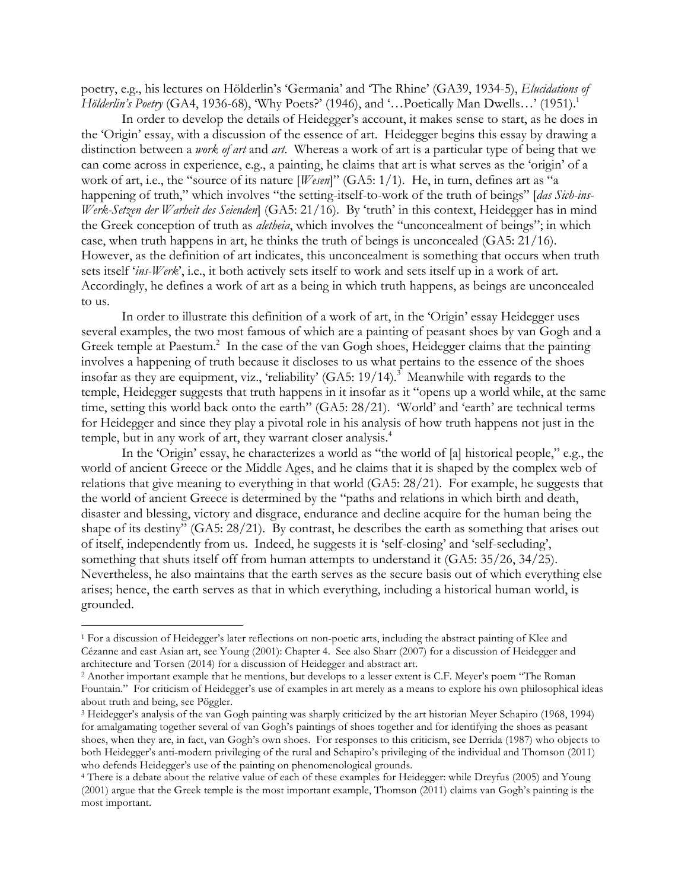poetry, e.g., his lectures on Hölderlin's 'Germania' and 'The Rhine' (GA39, 1934-5), *Elucidations of Hölderlin's Poetry* (GA4, 1936-68), 'Why Poets?' (1946), and '...Poetically Man Dwells...' (1951).<sup>1</sup>

In order to develop the details of Heidegger's account, it makes sense to start, as he does in the 'Origin' essay, with a discussion of the essence of art. Heidegger begins this essay by drawing a distinction between a *work of art* and *art*. Whereas a work of art is a particular type of being that we can come across in experience, e.g., a painting, he claims that art is what serves as the 'origin' of a work of art, i.e., the "source of its nature [*Wesen*]" (GA5: 1/1). He, in turn, defines art as "a happening of truth," which involves "the setting-itself-to-work of the truth of beings" [*das Sich-ins-Werk-Setzen der Warheit des Seienden*] (GA5: 21/16). By 'truth' in this context, Heidegger has in mind the Greek conception of truth as *aletheia*, which involves the "unconcealment of beings"; in which case, when truth happens in art, he thinks the truth of beings is unconcealed (GA5: 21/16). However, as the definition of art indicates, this unconcealment is something that occurs when truth sets itself '*ins-Werk*', i.e., it both actively sets itself to work and sets itself up in a work of art. Accordingly, he defines a work of art as a being in which truth happens, as beings are unconcealed to us.

In order to illustrate this definition of a work of art, in the 'Origin' essay Heidegger uses several examples, the two most famous of which are a painting of peasant shoes by van Gogh and a Greek temple at Paestum.<sup>2</sup> In the case of the van Gogh shoes, Heidegger claims that the painting involves a happening of truth because it discloses to us what pertains to the essence of the shoes insofar as they are equipment, viz., 'reliability' (GA5:  $19/14$ ).<sup>3</sup> Meanwhile with regards to the temple, Heidegger suggests that truth happens in it insofar as it "opens up a world while, at the same time, setting this world back onto the earth" (GA5: 28/21). 'World' and 'earth' are technical terms for Heidegger and since they play a pivotal role in his analysis of how truth happens not just in the temple, but in any work of art, they warrant closer analysis. 4

In the 'Origin' essay, he characterizes a world as "the world of [a] historical people," e.g., the world of ancient Greece or the Middle Ages, and he claims that it is shaped by the complex web of relations that give meaning to everything in that world (GA5: 28/21). For example, he suggests that the world of ancient Greece is determined by the "paths and relations in which birth and death, disaster and blessing, victory and disgrace, endurance and decline acquire for the human being the shape of its destiny" (GA5: 28/21). By contrast, he describes the earth as something that arises out of itself, independently from us. Indeed, he suggests it is 'self-closing' and 'self-secluding', something that shuts itself off from human attempts to understand it (GA5: 35/26, 34/25). Nevertheless, he also maintains that the earth serves as the secure basis out of which everything else arises; hence, the earth serves as that in which everything, including a historical human world, is grounded.

 <sup>1</sup> For a discussion of Heidegger's later reflections on non-poetic arts, including the abstract painting of Klee and Cézanne and east Asian art, see Young (2001): Chapter 4. See also Sharr (2007) for a discussion of Heidegger and architecture and Torsen (2014) for a discussion of Heidegger and abstract art. 2 Another important example that he mentions, but develops to a lesser extent is C.F. Meyer's poem "The Roman

Fountain." For criticism of Heidegger's use of examples in art merely as a means to explore his own philosophical ideas about truth and being, see Pöggler.

<sup>3</sup> Heidegger's analysis of the van Gogh painting was sharply criticized by the art historian Meyer Schapiro (1968, 1994) for amalgamating together several of van Gogh's paintings of shoes together and for identifying the shoes as peasant shoes, when they are, in fact, van Gogh's own shoes. For responses to this criticism, see Derrida (1987) who objects to both Heidegger's anti-modern privileging of the rural and Schapiro's privileging of the individual and Thomson (2011) who defends Heidegger's use of the painting on phenomenological grounds. 4 There is a debate about the relative value of each of these examples for Heidegger: while Dreyfus (2005) and Young

<sup>(2001)</sup> argue that the Greek temple is the most important example, Thomson (2011) claims van Gogh's painting is the most important.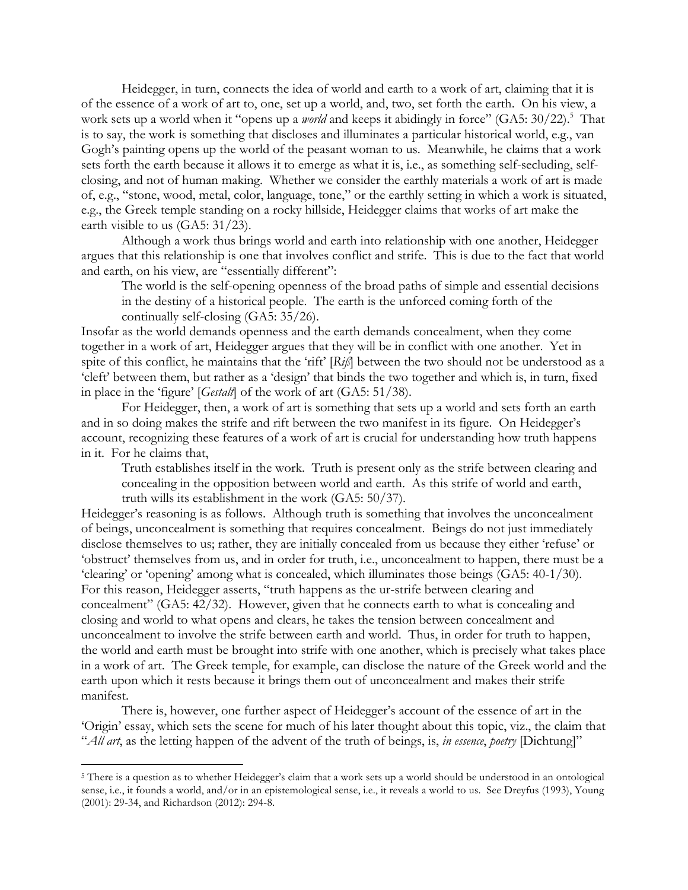Heidegger, in turn, connects the idea of world and earth to a work of art, claiming that it is of the essence of a work of art to, one, set up a world, and, two, set forth the earth. On his view, a work sets up a world when it "opens up a *world* and keeps it abidingly in force" (GA5: 30/22).<sup>5</sup> That is to say, the work is something that discloses and illuminates a particular historical world, e.g., van Gogh's painting opens up the world of the peasant woman to us. Meanwhile, he claims that a work sets forth the earth because it allows it to emerge as what it is, i.e., as something self-secluding, selfclosing, and not of human making. Whether we consider the earthly materials a work of art is made of, e.g., "stone, wood, metal, color, language, tone," or the earthly setting in which a work is situated, e.g., the Greek temple standing on a rocky hillside, Heidegger claims that works of art make the earth visible to us (GA5: 31/23).

Although a work thus brings world and earth into relationship with one another, Heidegger argues that this relationship is one that involves conflict and strife. This is due to the fact that world and earth, on his view, are "essentially different":

The world is the self-opening openness of the broad paths of simple and essential decisions in the destiny of a historical people. The earth is the unforced coming forth of the continually self-closing (GA5: 35/26).

Insofar as the world demands openness and the earth demands concealment, when they come together in a work of art, Heidegger argues that they will be in conflict with one another. Yet in spite of this conflict, he maintains that the 'rift' [*Riß*] between the two should not be understood as a 'cleft' between them, but rather as a 'design' that binds the two together and which is, in turn, fixed in place in the 'figure' [*Gestalt*] of the work of art (GA5: 51/38).

For Heidegger, then, a work of art is something that sets up a world and sets forth an earth and in so doing makes the strife and rift between the two manifest in its figure. On Heidegger's account, recognizing these features of a work of art is crucial for understanding how truth happens in it. For he claims that,

Truth establishes itself in the work. Truth is present only as the strife between clearing and concealing in the opposition between world and earth. As this strife of world and earth, truth wills its establishment in the work (GA5: 50/37).

Heidegger's reasoning is as follows. Although truth is something that involves the unconcealment of beings, unconcealment is something that requires concealment. Beings do not just immediately disclose themselves to us; rather, they are initially concealed from us because they either 'refuse' or 'obstruct' themselves from us, and in order for truth, i.e., unconcealment to happen, there must be a 'clearing' or 'opening' among what is concealed, which illuminates those beings (GA5: 40-1/30). For this reason, Heidegger asserts, "truth happens as the ur-strife between clearing and concealment" (GA5: 42/32). However, given that he connects earth to what is concealing and closing and world to what opens and clears, he takes the tension between concealment and unconcealment to involve the strife between earth and world. Thus, in order for truth to happen, the world and earth must be brought into strife with one another, which is precisely what takes place in a work of art. The Greek temple, for example, can disclose the nature of the Greek world and the earth upon which it rests because it brings them out of unconcealment and makes their strife manifest.

There is, however, one further aspect of Heidegger's account of the essence of art in the 'Origin' essay, which sets the scene for much of his later thought about this topic, viz., the claim that "*All art*, as the letting happen of the advent of the truth of beings, is, *in essence*, *poetry* [Dichtung]"

<sup>&</sup>lt;sup>5</sup> There is a question as to whether Heidegger's claim that a work sets up a world should be understood in an ontological sense, i.e., it founds a world, and/or in an epistemological sense, i.e., it reveals a world to us. See Dreyfus (1993), Young (2001): 29-34, and Richardson (2012): 294-8.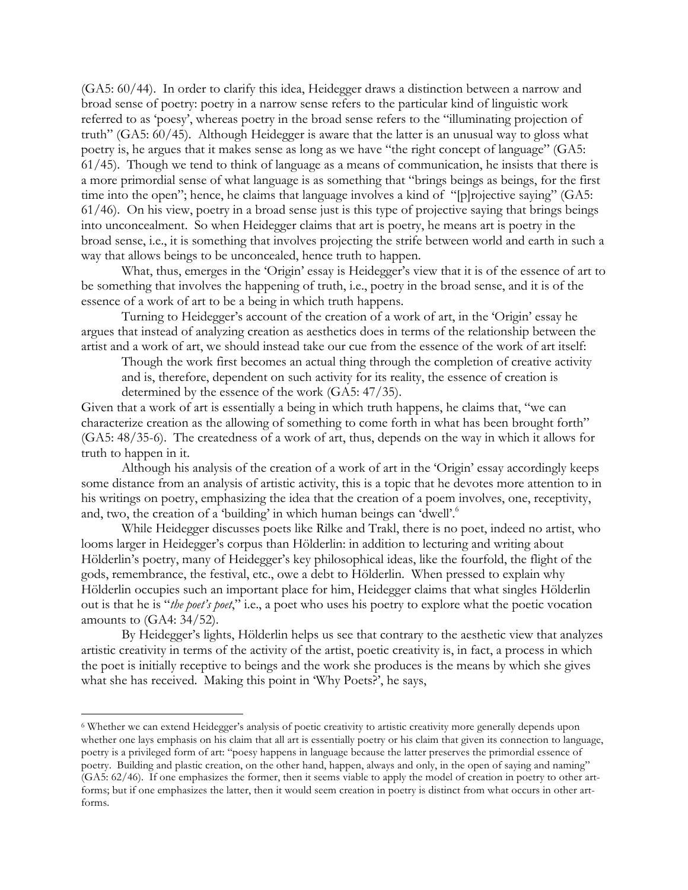(GA5: 60/44). In order to clarify this idea, Heidegger draws a distinction between a narrow and broad sense of poetry: poetry in a narrow sense refers to the particular kind of linguistic work referred to as 'poesy', whereas poetry in the broad sense refers to the "illuminating projection of truth" (GA5: 60/45). Although Heidegger is aware that the latter is an unusual way to gloss what poetry is, he argues that it makes sense as long as we have "the right concept of language" (GA5: 61/45). Though we tend to think of language as a means of communication, he insists that there is a more primordial sense of what language is as something that "brings beings as beings, for the first time into the open"; hence, he claims that language involves a kind of "[p]rojective saying" (GA5: 61/46). On his view, poetry in a broad sense just is this type of projective saying that brings beings into unconcealment. So when Heidegger claims that art is poetry, he means art is poetry in the broad sense, i.e., it is something that involves projecting the strife between world and earth in such a way that allows beings to be unconcealed, hence truth to happen.

What, thus, emerges in the 'Origin' essay is Heidegger's view that it is of the essence of art to be something that involves the happening of truth, i.e., poetry in the broad sense, and it is of the essence of a work of art to be a being in which truth happens.

Turning to Heidegger's account of the creation of a work of art, in the 'Origin' essay he argues that instead of analyzing creation as aesthetics does in terms of the relationship between the artist and a work of art, we should instead take our cue from the essence of the work of art itself:

Though the work first becomes an actual thing through the completion of creative activity and is, therefore, dependent on such activity for its reality, the essence of creation is determined by the essence of the work (GA5: 47/35).

Given that a work of art is essentially a being in which truth happens, he claims that, "we can characterize creation as the allowing of something to come forth in what has been brought forth" (GA5: 48/35-6). The createdness of a work of art, thus, depends on the way in which it allows for truth to happen in it.

Although his analysis of the creation of a work of art in the 'Origin' essay accordingly keeps some distance from an analysis of artistic activity, this is a topic that he devotes more attention to in his writings on poetry, emphasizing the idea that the creation of a poem involves, one, receptivity, and, two, the creation of a 'building' in which human beings can 'dwell'.<sup>6</sup>

While Heidegger discusses poets like Rilke and Trakl, there is no poet, indeed no artist, who looms larger in Heidegger's corpus than Hölderlin: in addition to lecturing and writing about Hölderlin's poetry, many of Heidegger's key philosophical ideas, like the fourfold, the flight of the gods, remembrance, the festival, etc., owe a debt to Hölderlin. When pressed to explain why Hölderlin occupies such an important place for him, Heidegger claims that what singles Hölderlin out is that he is "*the poet's poet*," i.e., a poet who uses his poetry to explore what the poetic vocation amounts to (GA4: 34/52).

By Heidegger's lights, Hölderlin helps us see that contrary to the aesthetic view that analyzes artistic creativity in terms of the activity of the artist, poetic creativity is, in fact, a process in which the poet is initially receptive to beings and the work she produces is the means by which she gives what she has received. Making this point in 'Why Poets?', he says,

 <sup>6</sup> Whether we can extend Heidegger's analysis of poetic creativity to artistic creativity more generally depends upon whether one lays emphasis on his claim that all art is essentially poetry or his claim that given its connection to language, poetry is a privileged form of art: "poesy happens in language because the latter preserves the primordial essence of poetry. Building and plastic creation, on the other hand, happen, always and only, in the open of saying and naming" (GA5: 62/46). If one emphasizes the former, then it seems viable to apply the model of creation in poetry to other artforms; but if one emphasizes the latter, then it would seem creation in poetry is distinct from what occurs in other artforms.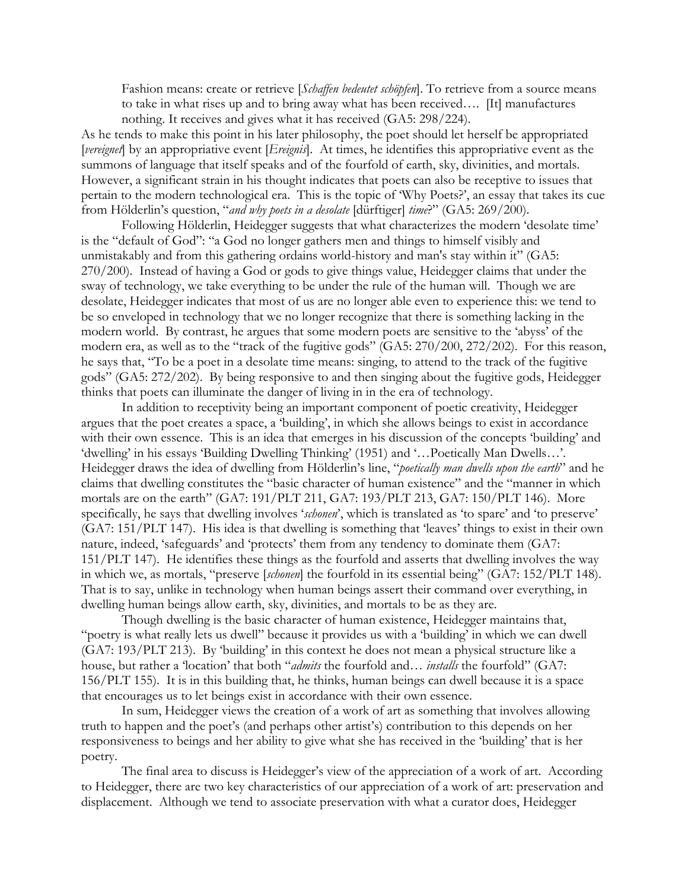Fashion means: create or retrieve [*Schaffen bedeutet schöpfen*]. To retrieve from a source means to take in what rises up and to bring away what has been received…. [It] manufactures nothing. It receives and gives what it has received (GA5: 298/224).

As he tends to make this point in his later philosophy, the poet should let herself be appropriated [*vereignet*] by an appropriative event [*Ereignis*]. At times, he identifies this appropriative event as the summons of language that itself speaks and of the fourfold of earth, sky, divinities, and mortals. However, a significant strain in his thought indicates that poets can also be receptive to issues that pertain to the modern technological era. This is the topic of 'Why Poets?', an essay that takes its cue from Hölderlin's question, "*and why poets in a desolate* [dürftiger] *time*?" (GA5: 269/200).

Following Hölderlin, Heidegger suggests that what characterizes the modern 'desolate time' is the "default of God": "a God no longer gathers men and things to himself visibly and unmistakably and from this gathering ordains world-history and man's stay within it" (GA5: 270/200). Instead of having a God or gods to give things value, Heidegger claims that under the sway of technology, we take everything to be under the rule of the human will. Though we are desolate, Heidegger indicates that most of us are no longer able even to experience this: we tend to be so enveloped in technology that we no longer recognize that there is something lacking in the modern world. By contrast, he argues that some modern poets are sensitive to the 'abyss' of the modern era, as well as to the "track of the fugitive gods" (GA5: 270/200, 272/202). For this reason, he says that, "To be a poet in a desolate time means: singing, to attend to the track of the fugitive gods" (GA5: 272/202). By being responsive to and then singing about the fugitive gods, Heidegger thinks that poets can illuminate the danger of living in in the era of technology.

In addition to receptivity being an important component of poetic creativity, Heidegger argues that the poet creates a space, a 'building', in which she allows beings to exist in accordance with their own essence. This is an idea that emerges in his discussion of the concepts 'building' and 'dwelling' in his essays 'Building Dwelling Thinking' (1951) and '…Poetically Man Dwells…'. Heidegger draws the idea of dwelling from Hölderlin's line, "*poetically man dwells upon the earth*" and he claims that dwelling constitutes the "basic character of human existence" and the "manner in which mortals are on the earth" (GA7: 191/PLT 211, GA7: 193/PLT 213, GA7: 150/PLT 146). More specifically, he says that dwelling involves '*schonen*', which is translated as 'to spare' and 'to preserve' (GA7: 151/PLT 147). His idea is that dwelling is something that 'leaves' things to exist in their own nature, indeed, 'safeguards' and 'protects' them from any tendency to dominate them (GA7: 151/PLT 147). He identifies these things as the fourfold and asserts that dwelling involves the way in which we, as mortals, "preserve [*schonen*] the fourfold in its essential being" (GA7: 152/PLT 148). That is to say, unlike in technology when human beings assert their command over everything, in dwelling human beings allow earth, sky, divinities, and mortals to be as they are.

Though dwelling is the basic character of human existence, Heidegger maintains that, "poetry is what really lets us dwell" because it provides us with a 'building' in which we can dwell (GA7: 193/PLT 213). By 'building' in this context he does not mean a physical structure like a house, but rather a 'location' that both "*admits* the fourfold and… *installs* the fourfold" (GA7: 156/PLT 155). It is in this building that, he thinks, human beings can dwell because it is a space that encourages us to let beings exist in accordance with their own essence.

In sum, Heidegger views the creation of a work of art as something that involves allowing truth to happen and the poet's (and perhaps other artist's) contribution to this depends on her responsiveness to beings and her ability to give what she has received in the 'building' that is her poetry.

The final area to discuss is Heidegger's view of the appreciation of a work of art. According to Heidegger, there are two key characteristics of our appreciation of a work of art: preservation and displacement. Although we tend to associate preservation with what a curator does, Heidegger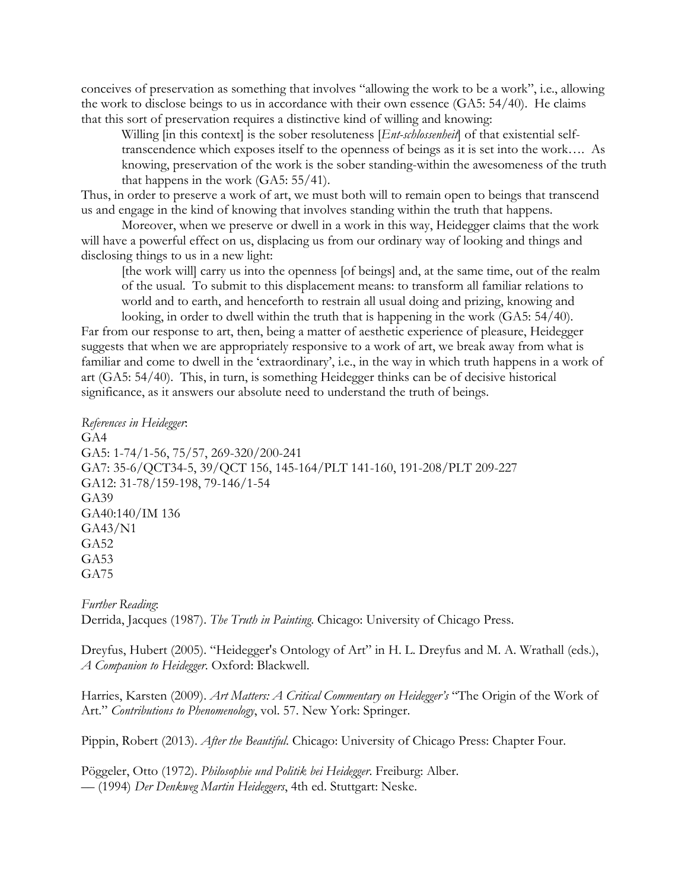conceives of preservation as something that involves "allowing the work to be a work", i.e., allowing the work to disclose beings to us in accordance with their own essence (GA5: 54/40). He claims that this sort of preservation requires a distinctive kind of willing and knowing:

Willing [in this context] is the sober resoluteness [*Ent-schlossenheit*] of that existential selftranscendence which exposes itself to the openness of beings as it is set into the work…. As knowing, preservation of the work is the sober standing-within the awesomeness of the truth that happens in the work (GA5: 55/41).

Thus, in order to preserve a work of art, we must both will to remain open to beings that transcend us and engage in the kind of knowing that involves standing within the truth that happens.

Moreover, when we preserve or dwell in a work in this way, Heidegger claims that the work will have a powerful effect on us, displacing us from our ordinary way of looking and things and disclosing things to us in a new light:

[the work will] carry us into the openness [of beings] and, at the same time, out of the realm of the usual. To submit to this displacement means: to transform all familiar relations to world and to earth, and henceforth to restrain all usual doing and prizing, knowing and looking, in order to dwell within the truth that is happening in the work (GA5: 54/40).

Far from our response to art, then, being a matter of aesthetic experience of pleasure, Heidegger suggests that when we are appropriately responsive to a work of art, we break away from what is familiar and come to dwell in the 'extraordinary', i.e., in the way in which truth happens in a work of art (GA5: 54/40). This, in turn, is something Heidegger thinks can be of decisive historical significance, as it answers our absolute need to understand the truth of beings.

*References in Heidegger*: GA4 GA5: 1-74/1-56, 75/57, 269-320/200-241 GA7: 35-6/QCT34-5, 39/QCT 156, 145-164/PLT 141-160, 191-208/PLT 209-227 GA12: 31-78/159-198, 79-146/1-54 GA39 GA40:140/IM 136 GA43/N1 GA52 GA53 GA75

*Further Reading*: Derrida, Jacques (1987). *The Truth in Painting*. Chicago: University of Chicago Press.

Dreyfus, Hubert (2005). "Heidegger's Ontology of Art" in H. L. Dreyfus and M. A. Wrathall (eds.), *A Companion to Heidegger*. Oxford: Blackwell.

Harries, Karsten (2009). *Art Matters: A Critical Commentary on Heidegger's* "The Origin of the Work of Art." *Contributions to Phenomenology*, vol. 57. New York: Springer.

Pippin, Robert (2013). *After the Beautiful*. Chicago: University of Chicago Press: Chapter Four.

Pöggeler, Otto (1972). *Philosophie und Politik bei Heidegger*. Freiburg: Alber. –– (1994) *Der Denkweg Martin Heideggers*, 4th ed. Stuttgart: Neske.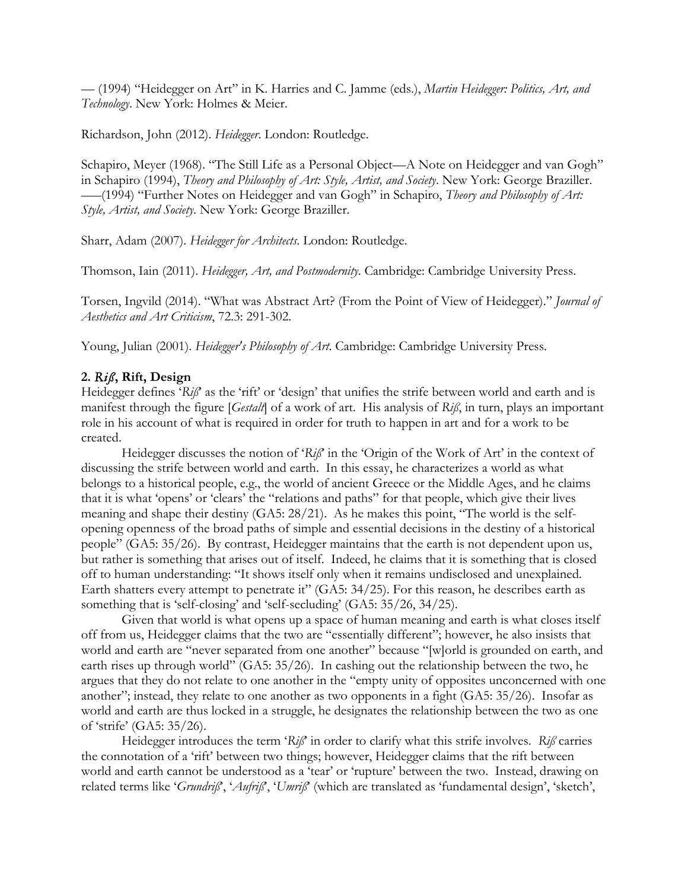–– (1994) "Heidegger on Art" in K. Harries and C. Jamme (eds.), *Martin Heidegger: Politics, Art, and Technology*. New York: Holmes & Meier.

Richardson, John (2012). *Heidegger*. London: Routledge.

Schapiro, Meyer (1968). "The Still Life as a Personal Object—A Note on Heidegger and van Gogh" in Schapiro (1994), *Theory and Philosophy of Art: Style, Artist, and Society*. New York: George Braziller. –––(1994) "Further Notes on Heidegger and van Gogh" in Schapiro, *Theory and Philosophy of Art: Style, Artist, and Society*. New York: George Braziller.

Sharr, Adam (2007). *Heidegger for Architects*. London: Routledge.

Thomson, Iain (2011). *Heidegger, Art, and Postmodernity*. Cambridge: Cambridge University Press.

Torsen, Ingvild (2014). "What was Abstract Art? (From the Point of View of Heidegger)." *Journal of Aesthetics and Art Criticism*, 72.3: 291-302.

Young, Julian (2001). *Heidegger's Philosophy of Art*. Cambridge: Cambridge University Press.

## **2.** *Riß***, Rift, Design**

Heidegger defines '*Riß*' as the 'rift' or 'design' that unifies the strife between world and earth and is manifest through the figure [*Gestalt*] of a work of art. His analysis of *Riß*, in turn, plays an important role in his account of what is required in order for truth to happen in art and for a work to be created.

Heidegger discusses the notion of '*Riß*' in the 'Origin of the Work of Art' in the context of discussing the strife between world and earth. In this essay, he characterizes a world as what belongs to a historical people, e.g., the world of ancient Greece or the Middle Ages, and he claims that it is what 'opens' or 'clears' the "relations and paths" for that people, which give their lives meaning and shape their destiny (GA5: 28/21). As he makes this point, "The world is the selfopening openness of the broad paths of simple and essential decisions in the destiny of a historical people" (GA5: 35/26). By contrast, Heidegger maintains that the earth is not dependent upon us, but rather is something that arises out of itself. Indeed, he claims that it is something that is closed off to human understanding: "It shows itself only when it remains undisclosed and unexplained. Earth shatters every attempt to penetrate it" (GA5: 34/25). For this reason, he describes earth as something that is 'self-closing' and 'self-secluding' (GA5: 35/26, 34/25).

Given that world is what opens up a space of human meaning and earth is what closes itself off from us, Heidegger claims that the two are "essentially different"; however, he also insists that world and earth are "never separated from one another" because "[w]orld is grounded on earth, and earth rises up through world" (GA5: 35/26). In cashing out the relationship between the two, he argues that they do not relate to one another in the "empty unity of opposites unconcerned with one another"; instead, they relate to one another as two opponents in a fight (GA5: 35/26). Insofar as world and earth are thus locked in a struggle, he designates the relationship between the two as one of 'strife' (GA5: 35/26).

Heidegger introduces the term '*Riß*' in order to clarify what this strife involves. *Riß* carries the connotation of a 'rift' between two things; however, Heidegger claims that the rift between world and earth cannot be understood as a 'tear' or 'rupture' between the two. Instead, drawing on related terms like '*Grundriß*', '*Aufriß*', '*Umriß*' (which are translated as 'fundamental design', 'sketch',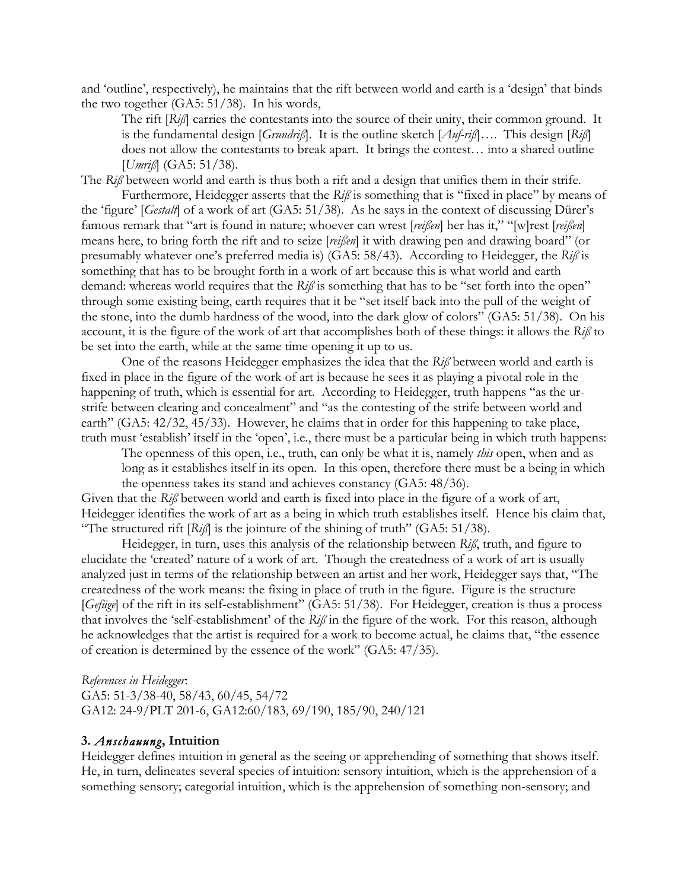and 'outline', respectively), he maintains that the rift between world and earth is a 'design' that binds the two together (GA5: 51/38). In his words,

The rift [*Riß*] carries the contestants into the source of their unity, their common ground. It is the fundamental design [*Grundriß*]. It is the outline sketch [*Auf-riß*]…. This design [*Riß*] does not allow the contestants to break apart. It brings the contest… into a shared outline [*Umriß*] (GA5: 51/38).

The *Riß* between world and earth is thus both a rift and a design that unifies them in their strife.

Furthermore, Heidegger asserts that the *Riß* is something that is "fixed in place" by means of the 'figure' [*Gestalt*] of a work of art (GA5: 51/38). As he says in the context of discussing Dürer's famous remark that "art is found in nature; whoever can wrest [*reißen*] her has it," "[w]rest [*reißen*] means here, to bring forth the rift and to seize [*reißen*] it with drawing pen and drawing board" (or presumably whatever one's preferred media is) (GA5: 58/43). According to Heidegger, the *Riß* is something that has to be brought forth in a work of art because this is what world and earth demand: whereas world requires that the *Riß* is something that has to be "set forth into the open" through some existing being, earth requires that it be "set itself back into the pull of the weight of the stone, into the dumb hardness of the wood, into the dark glow of colors" (GA5: 51/38). On his account, it is the figure of the work of art that accomplishes both of these things: it allows the *Riß* to be set into the earth, while at the same time opening it up to us.

One of the reasons Heidegger emphasizes the idea that the *Riß* between world and earth is fixed in place in the figure of the work of art is because he sees it as playing a pivotal role in the happening of truth, which is essential for art. According to Heidegger, truth happens "as the urstrife between clearing and concealment" and "as the contesting of the strife between world and earth" (GA5: 42/32, 45/33). However, he claims that in order for this happening to take place, truth must 'establish' itself in the 'open', i.e., there must be a particular being in which truth happens:

The openness of this open, i.e., truth, can only be what it is, namely *this* open, when and as long as it establishes itself in its open. In this open, therefore there must be a being in which the openness takes its stand and achieves constancy (GA5: 48/36).

Given that the *Riß* between world and earth is fixed into place in the figure of a work of art, Heidegger identifies the work of art as a being in which truth establishes itself. Hence his claim that, "The structured rift [*Riß*] is the jointure of the shining of truth" (GA5: 51/38).

Heidegger, in turn, uses this analysis of the relationship between *Riß*, truth, and figure to elucidate the 'created' nature of a work of art. Though the createdness of a work of art is usually analyzed just in terms of the relationship between an artist and her work, Heidegger says that, "The createdness of the work means: the fixing in place of truth in the figure. Figure is the structure [*Gefüge*] of the rift in its self-establishment" (GA5: 51/38). For Heidegger, creation is thus a process that involves the 'self-establishment' of the *Riß* in the figure of the work. For this reason, although he acknowledges that the artist is required for a work to become actual, he claims that, "the essence of creation is determined by the essence of the work" (GA5: 47/35).

*References in Heidegger*:

GA5: 51-3/38-40, 58/43, 60/45, 54/72 GA12: 24-9/PLT 201-6, GA12:60/183, 69/190, 185/90, 240/121

## **3.** *Anschauung***, Intuition**

Heidegger defines intuition in general as the seeing or apprehending of something that shows itself. He, in turn, delineates several species of intuition: sensory intuition, which is the apprehension of a something sensory; categorial intuition, which is the apprehension of something non-sensory; and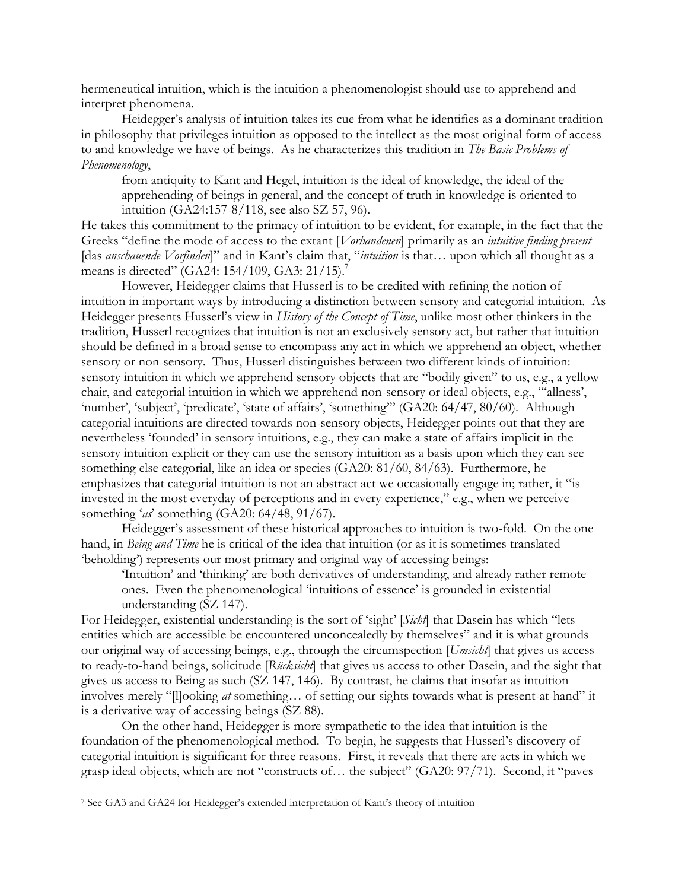hermeneutical intuition, which is the intuition a phenomenologist should use to apprehend and interpret phenomena.

Heidegger's analysis of intuition takes its cue from what he identifies as a dominant tradition in philosophy that privileges intuition as opposed to the intellect as the most original form of access to and knowledge we have of beings. As he characterizes this tradition in *The Basic Problems of Phenomenology*,

from antiquity to Kant and Hegel, intuition is the ideal of knowledge, the ideal of the apprehending of beings in general, and the concept of truth in knowledge is oriented to intuition (GA24:157-8/118, see also SZ 57, 96).

He takes this commitment to the primacy of intuition to be evident, for example, in the fact that the Greeks "define the mode of access to the extant [*Vorhandenen*] primarily as an *intuitive finding present*  [das *anschauende Vorfinden*]" and in Kant's claim that, "*intuition* is that… upon which all thought as a means is directed" (GA24: 154/109, GA3: 21/15).<sup>7</sup>

However, Heidegger claims that Husserl is to be credited with refining the notion of intuition in important ways by introducing a distinction between sensory and categorial intuition. As Heidegger presents Husserl's view in *History of the Concept of Time*, unlike most other thinkers in the tradition, Husserl recognizes that intuition is not an exclusively sensory act, but rather that intuition should be defined in a broad sense to encompass any act in which we apprehend an object, whether sensory or non-sensory. Thus, Husserl distinguishes between two different kinds of intuition: sensory intuition in which we apprehend sensory objects that are "bodily given" to us, e.g., a yellow chair, and categorial intuition in which we apprehend non-sensory or ideal objects, e.g., "'allness', 'number', 'subject', 'predicate', 'state of affairs', 'something'" (GA20: 64/47, 80/60). Although categorial intuitions are directed towards non-sensory objects, Heidegger points out that they are nevertheless 'founded' in sensory intuitions, e.g., they can make a state of affairs implicit in the sensory intuition explicit or they can use the sensory intuition as a basis upon which they can see something else categorial, like an idea or species (GA20: 81/60, 84/63). Furthermore, he emphasizes that categorial intuition is not an abstract act we occasionally engage in; rather, it "is invested in the most everyday of perceptions and in every experience," e.g., when we perceive something '*as*' something (GA20: 64/48, 91/67).

Heidegger's assessment of these historical approaches to intuition is two-fold. On the one hand, in *Being and Time* he is critical of the idea that intuition (or as it is sometimes translated 'beholding') represents our most primary and original way of accessing beings:

'Intuition' and 'thinking' are both derivatives of understanding, and already rather remote ones. Even the phenomenological 'intuitions of essence' is grounded in existential understanding (SZ 147).

For Heidegger, existential understanding is the sort of 'sight' [*Sicht*] that Dasein has which "lets entities which are accessible be encountered unconcealedly by themselves" and it is what grounds our original way of accessing beings, e.g., through the circumspection [*Umsicht*] that gives us access to ready-to-hand beings, solicitude [*Rücksicht*] that gives us access to other Dasein, and the sight that gives us access to Being as such (SZ 147, 146). By contrast, he claims that insofar as intuition involves merely "[l]ooking *at* something… of setting our sights towards what is present-at-hand" it is a derivative way of accessing beings (SZ 88).

On the other hand, Heidegger is more sympathetic to the idea that intuition is the foundation of the phenomenological method. To begin, he suggests that Husserl's discovery of categorial intuition is significant for three reasons. First, it reveals that there are acts in which we grasp ideal objects, which are not "constructs of… the subject" (GA20: 97/71). Second, it "paves

 <sup>7</sup> See GA3 and GA24 for Heidegger's extended interpretation of Kant's theory of intuition